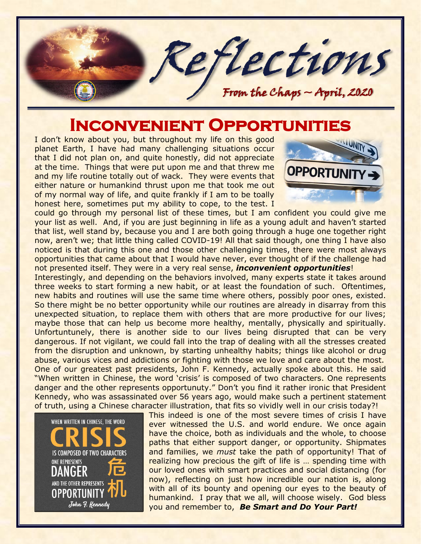

## **INCONVENIENT OPPORTUNIT**

I don't know about you, but throughout my life on this good planet Earth, I have had many challenging situations occur that I did not plan on, and quite honestly, did not appreciate at the time. Things that were put upon me and that threw me and my life routine totally out of wack. They were events that either nature or humankind thrust upon me that took me out of my normal way of life, and quite frankly if I am to be toally honest here, sometimes put my ability to cope, to the test. I



could go through my personal list of these times, but I am confident you could give me your list as well. And, if you are just beginning in life as a young adult and haven't started that list, well stand by, because you and I are both going through a huge one together right now, aren't we; that little thing called COVID-19! All that said though, one thing I have also noticed is that during this one and those other challenging times, there were most always opportunities that came about that I would have never, ever thought of if the challenge had not presented itself. They were in a very real sense, *inconvenient opportunities*!

Interestingly, and depending on the behaviors involved, many experts state it takes around three weeks to start forming a new habit, or at least the foundation of such. Oftentimes, new habits and routines will use the same time where others, possibly poor ones, existed. So there might be no better opportunity while our routines are already in disarray from this unexpected situation, to replace them with others that are more productive for our lives; maybe those that can help us become more healthy, mentally, physically and spiritually. Unfortuntunely, there is another side to our lives being disrupted that can be very dangerous. If not vigilant, we could fall into the trap of dealing with all the stresses created from the disruption and unknown, by starting unhealthy habits; things like alcohol or drug abuse, various vices and addictions or fighting with those we love and care about the most. One of our greatest past presidents, John F. Kennedy, actually spoke about this. He said "When written in Chinese, the word 'crisis' is composed of two characters. One represents danger and the other represents opportunuty." Don't you find it rather ironic that President Kennedy, who was assassinated over 56 years ago, would make such a pertinent statement of truth, using a Chinese character illustration, that fits so vividly well in our crisis today?!



This indeed is one of the most severe times of crisis I have ever witnessed the U.S. and world endure. We once again have the choice, both as individuals and the whole, to choose paths that either support danger, or opportunity. Shipmates and families, we *must* take the path of opportunity! That of realizing how precious the gift of life is … spending time with our loved ones with smart practices and social distancing (for now), reflecting on just how incredible our nation is, along with all of its bounty and opening our eyes to the beauty of humankind. I pray that we all, will choose wisely. God bless you and remember to, *Be Smart and Do Your Part!*